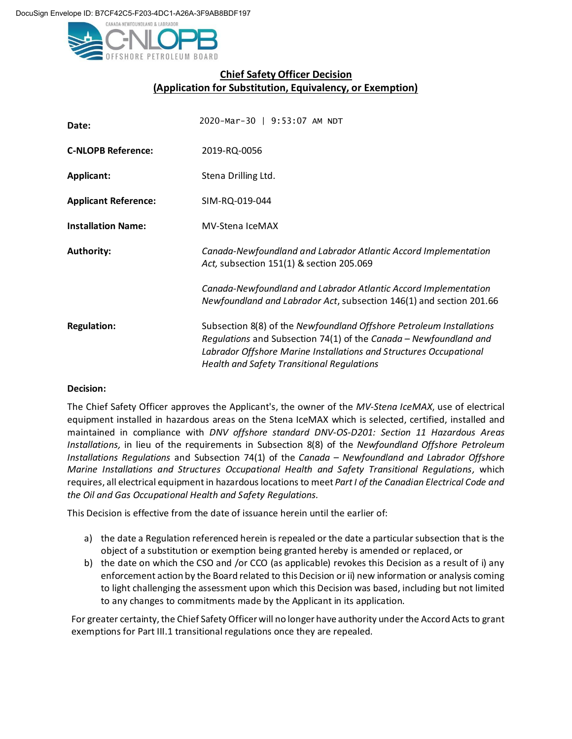

## **Chief Safety Officer Decision (Application for Substitution, Equivalency, or Exemption)**

| Date:                       | 2020-Mar-30   9:53:07 AM NDT                                                                                                                                                                                                                                         |
|-----------------------------|----------------------------------------------------------------------------------------------------------------------------------------------------------------------------------------------------------------------------------------------------------------------|
| <b>C-NLOPB Reference:</b>   | 2019-RQ-0056                                                                                                                                                                                                                                                         |
| Applicant:                  | Stena Drilling Ltd.                                                                                                                                                                                                                                                  |
| <b>Applicant Reference:</b> | SIM-RQ-019-044                                                                                                                                                                                                                                                       |
| <b>Installation Name:</b>   | <b>MV-Stena IceMAX</b>                                                                                                                                                                                                                                               |
| <b>Authority:</b>           | Canada-Newfoundland and Labrador Atlantic Accord Implementation<br>Act, subsection 151(1) & section 205.069                                                                                                                                                          |
|                             | Canada-Newfoundland and Labrador Atlantic Accord Implementation<br>Newfoundland and Labrador Act, subsection 146(1) and section 201.66                                                                                                                               |
| <b>Regulation:</b>          | Subsection 8(8) of the Newfoundland Offshore Petroleum Installations<br>Regulations and Subsection 74(1) of the Canada - Newfoundland and<br>Labrador Offshore Marine Installations and Structures Occupational<br><b>Health and Safety Transitional Regulations</b> |

## **Decision:**

The Chief Safety Officer approves the Applicant's, the owner of the *MV-Stena IceMAX*, use of electrical equipment installed in hazardous areas on the Stena IceMAX which is selected, certified, installed and maintained in compliance with *DNV offshore standard DNV-OS-D201: Section 11 Hazardous Areas Installations,* in lieu of the requirements in Subsection 8(8) of the *Newfoundland Offshore Petroleum Installations Regulations* and Subsection 74(1) of the *Canada – Newfoundland and Labrador Offshore Marine Installations and Structures Occupational Health and Safety Transitional Regulations,* which requires, all electrical equipment in hazardous locations to meet *Part I of the Canadian Electrical Code and the Oil and Gas Occupational Health and Safety Regulations.* 

This Decision is effective from the date of issuance herein until the earlier of:

- a) the date a Regulation referenced herein is repealed or the date a particular subsection that is the object of a substitution or exemption being granted hereby is amended or replaced, or
- b) the date on which the CSO and /or CCO (as applicable) revokes this Decision as a result of i) any enforcement action by the Board related to this Decision or ii) new information or analysis coming to light challenging the assessment upon which this Decision was based, including but not limited to any changes to commitments made by the Applicant in its application.

For greater certainty, the Chief Safety Officer will no longer have authority under the Accord Acts to grant exemptions for Part III.1 transitional regulations once they are repealed.